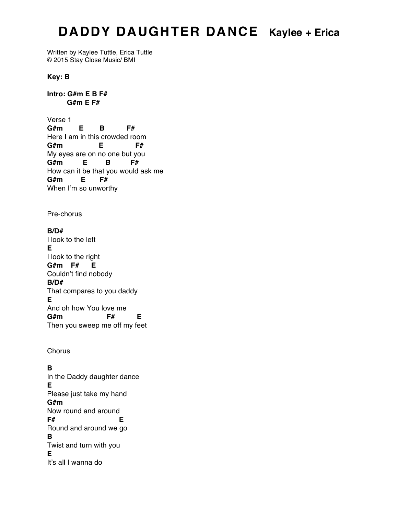## **DADDY DAUGHTER DANCE Kaylee + Erica**

Written by Kaylee Tuttle, Erica Tuttle © 2015 Stay Close Music/ BMI

**Key: B**

## **Intro: G#m E B F# G#m E F#**

Verse 1 **G#m E B F#** Here I am in this crowded room **G#m E F#** My eyes are on no one but you **G#m E B F#** How can it be that you would ask me **G#m E F#** When I'm so unworthy

Pre-chorus

**B/D#** I look to the left **E** I look to the right **G#m F# E** Couldn't find nobody **B/D#** That compares to you daddy **E** And oh how You love me **G#m F# E** Then you sweep me off my feet

**Chorus** 

## **B**

In the Daddy daughter dance **E** Please just take my hand **G#m** Now round and around **F# E** Round and around we go **B** Twist and turn with you **E** It's all I wanna do